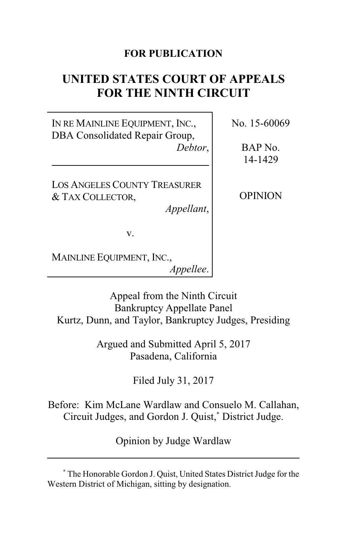## **FOR PUBLICATION**

# **UNITED STATES COURT OF APPEALS FOR THE NINTH CIRCUIT**

IN RE MAINLINE EQUIPMENT, INC., DBA Consolidated Repair Group, *Debtor*,

LOS ANGELES COUNTY TREASURER & TAX COLLECTOR,

*Appellant*,

No. 15-60069

BAP No. 14-1429

OPINION

v.

MAINLINE EQUIPMENT, INC., *Appellee*.

Appeal from the Ninth Circuit Bankruptcy Appellate Panel Kurtz, Dunn, and Taylor, Bankruptcy Judges, Presiding

> Argued and Submitted April 5, 2017 Pasadena, California

> > Filed July 31, 2017

Before: Kim McLane Wardlaw and Consuelo M. Callahan, Circuit Judges, and Gordon J. Quist,**\*** District Judge.

Opinion by Judge Wardlaw

**<sup>\*</sup>** The Honorable Gordon J. Quist, United States District Judge for the Western District of Michigan, sitting by designation.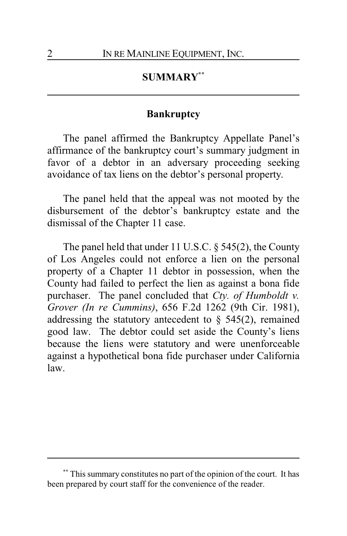## **SUMMARY\*\***

## **Bankruptcy**

The panel affirmed the Bankruptcy Appellate Panel's affirmance of the bankruptcy court's summary judgment in favor of a debtor in an adversary proceeding seeking avoidance of tax liens on the debtor's personal property.

The panel held that the appeal was not mooted by the disbursement of the debtor's bankruptcy estate and the dismissal of the Chapter 11 case.

The panel held that under 11 U.S.C. § 545(2), the County of Los Angeles could not enforce a lien on the personal property of a Chapter 11 debtor in possession, when the County had failed to perfect the lien as against a bona fide purchaser. The panel concluded that *Cty. of Humboldt v. Grover (In re Cummins)*, 656 F.2d 1262 (9th Cir. 1981), addressing the statutory antecedent to  $\S$  545(2), remained good law. The debtor could set aside the County's liens because the liens were statutory and were unenforceable against a hypothetical bona fide purchaser under California law.

**<sup>\*\*</sup>** This summary constitutes no part of the opinion of the court. It has been prepared by court staff for the convenience of the reader.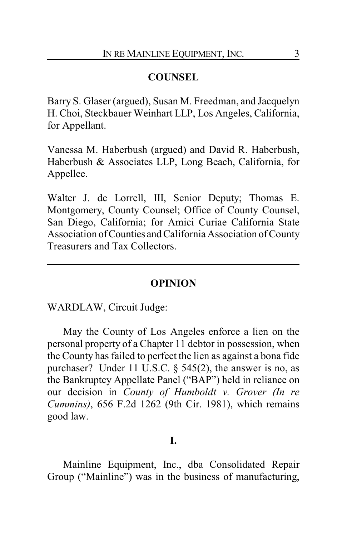## **COUNSEL**

Barry S. Glaser (argued), Susan M. Freedman, and Jacquelyn H. Choi, Steckbauer Weinhart LLP, Los Angeles, California, for Appellant.

Vanessa M. Haberbush (argued) and David R. Haberbush, Haberbush & Associates LLP, Long Beach, California, for Appellee.

Walter J. de Lorrell, III, Senior Deputy; Thomas E. Montgomery, County Counsel; Office of County Counsel, San Diego, California; for Amici Curiae California State Association ofCounties and California Association of County Treasurers and Tax Collectors.

## **OPINION**

WARDLAW, Circuit Judge:

May the County of Los Angeles enforce a lien on the personal property of a Chapter 11 debtor in possession, when the County has failed to perfect the lien as against a bona fide purchaser? Under 11 U.S.C. § 545(2), the answer is no, as the Bankruptcy Appellate Panel ("BAP") held in reliance on our decision in *County of Humboldt v. Grover (In re Cummins)*, 656 F.2d 1262 (9th Cir. 1981), which remains good law.

## **I.**

Mainline Equipment, Inc., dba Consolidated Repair Group ("Mainline") was in the business of manufacturing,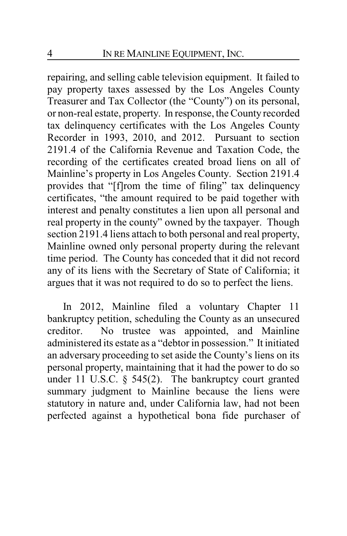repairing, and selling cable television equipment. It failed to pay property taxes assessed by the Los Angeles County Treasurer and Tax Collector (the "County") on its personal, or non-real estate, property. In response, the County recorded tax delinquency certificates with the Los Angeles County Recorder in 1993, 2010, and 2012. Pursuant to section 2191.4 of the California Revenue and Taxation Code, the recording of the certificates created broad liens on all of Mainline's property in Los Angeles County. Section 2191.4 provides that "[f]rom the time of filing" tax delinquency certificates, "the amount required to be paid together with interest and penalty constitutes a lien upon all personal and real property in the county" owned by the taxpayer. Though section 2191.4 liens attach to both personal and real property, Mainline owned only personal property during the relevant time period. The County has conceded that it did not record any of its liens with the Secretary of State of California; it argues that it was not required to do so to perfect the liens.

In 2012, Mainline filed a voluntary Chapter 11 bankruptcy petition, scheduling the County as an unsecured creditor. No trustee was appointed, and Mainline administered its estate as a "debtor in possession." It initiated an adversary proceeding to set aside the County's liens on its personal property, maintaining that it had the power to do so under 11 U.S.C. § 545(2). The bankruptcy court granted summary judgment to Mainline because the liens were statutory in nature and, under California law, had not been perfected against a hypothetical bona fide purchaser of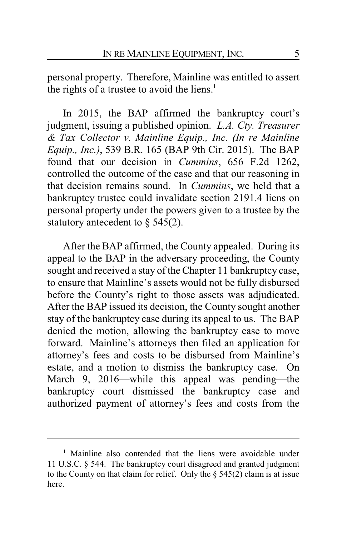personal property. Therefore, Mainline was entitled to assert the rights of a trustee to avoid the liens.**<sup>1</sup>**

In 2015, the BAP affirmed the bankruptcy court's judgment, issuing a published opinion. *L.A. Cty. Treasurer & Tax Collector v. Mainline Equip., Inc. (In re Mainline Equip., Inc.)*, 539 B.R. 165 (BAP 9th Cir. 2015). The BAP found that our decision in *Cummins*, 656 F.2d 1262, controlled the outcome of the case and that our reasoning in that decision remains sound. In *Cummins*, we held that a bankruptcy trustee could invalidate section 2191.4 liens on personal property under the powers given to a trustee by the statutory antecedent to § 545(2).

After the BAP affirmed, the County appealed. During its appeal to the BAP in the adversary proceeding, the County sought and received a stay of the Chapter 11 bankruptcy case, to ensure that Mainline's assets would not be fully disbursed before the County's right to those assets was adjudicated. After the BAP issued its decision, the County sought another stay of the bankruptcy case during its appeal to us. The BAP denied the motion, allowing the bankruptcy case to move forward. Mainline's attorneys then filed an application for attorney's fees and costs to be disbursed from Mainline's estate, and a motion to dismiss the bankruptcy case. On March 9, 2016—while this appeal was pending—the bankruptcy court dismissed the bankruptcy case and authorized payment of attorney's fees and costs from the

**<sup>1</sup>** Mainline also contended that the liens were avoidable under 11 U.S.C. § 544. The bankruptcy court disagreed and granted judgment to the County on that claim for relief. Only the  $\S$  545(2) claim is at issue here.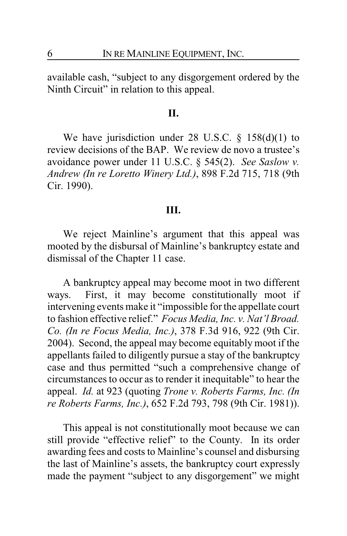available cash, "subject to any disgorgement ordered by the Ninth Circuit" in relation to this appeal.

#### **II.**

We have jurisdiction under 28 U.S.C.  $\S$  158(d)(1) to review decisions of the BAP. We review de novo a trustee's avoidance power under 11 U.S.C. § 545(2). *See Saslow v. Andrew (In re Loretto Winery Ltd.)*, 898 F.2d 715, 718 (9th Cir. 1990).

### **III.**

We reject Mainline's argument that this appeal was mooted by the disbursal of Mainline's bankruptcy estate and dismissal of the Chapter 11 case.

A bankruptcy appeal may become moot in two different ways. First, it may become constitutionally moot if intervening events make it "impossible for the appellate court to fashion effective relief." *Focus Media, Inc. v. Nat'l Broad. Co. (In re Focus Media, Inc.)*, 378 F.3d 916, 922 (9th Cir. 2004). Second, the appeal may become equitably moot if the appellants failed to diligently pursue a stay of the bankruptcy case and thus permitted "such a comprehensive change of circumstances to occur as to render it inequitable" to hear the appeal. *Id.* at 923 (quoting *Trone v. Roberts Farms, Inc. (In re Roberts Farms, Inc.)*, 652 F.2d 793, 798 (9th Cir. 1981)).

This appeal is not constitutionally moot because we can still provide "effective relief" to the County. In its order awarding fees and costs to Mainline's counsel and disbursing the last of Mainline's assets, the bankruptcy court expressly made the payment "subject to any disgorgement" we might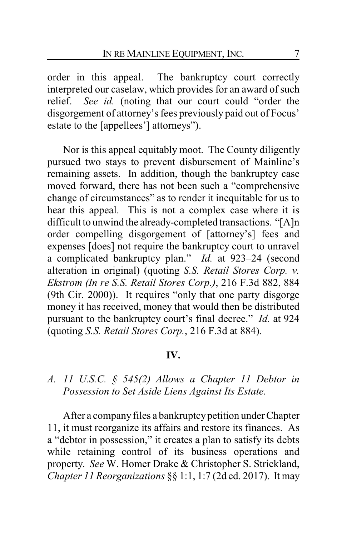order in this appeal. The bankruptcy court correctly interpreted our caselaw, which provides for an award of such relief. *See id.* (noting that our court could "order the disgorgement of attorney's fees previously paid out of Focus' estate to the [appellees'] attorneys").

Nor is this appeal equitably moot. The County diligently pursued two stays to prevent disbursement of Mainline's remaining assets. In addition, though the bankruptcy case moved forward, there has not been such a "comprehensive change of circumstances" as to render it inequitable for us to hear this appeal. This is not a complex case where it is difficult to unwind the already-completed transactions. "[A]n order compelling disgorgement of [attorney's] fees and expenses [does] not require the bankruptcy court to unravel a complicated bankruptcy plan." *Id.* at 923–24 (second alteration in original) (quoting *S.S. Retail Stores Corp. v. Ekstrom (In re S.S. Retail Stores Corp.)*, 216 F.3d 882, 884 (9th Cir. 2000)). It requires "only that one party disgorge money it has received, money that would then be distributed pursuant to the bankruptcy court's final decree." *Id.* at 924 (quoting *S.S. Retail Stores Corp.*, 216 F.3d at 884).

## **IV.**

## *A. 11 U.S.C. § 545(2) Allows a Chapter 11 Debtor in Possession to Set Aside Liens Against Its Estate.*

After a company files a bankruptcy petition under Chapter 11, it must reorganize its affairs and restore its finances. As a "debtor in possession," it creates a plan to satisfy its debts while retaining control of its business operations and property. *See* W. Homer Drake & Christopher S. Strickland, *Chapter 11 Reorganizations* §§ 1:1, 1:7 (2d ed. 2017). It may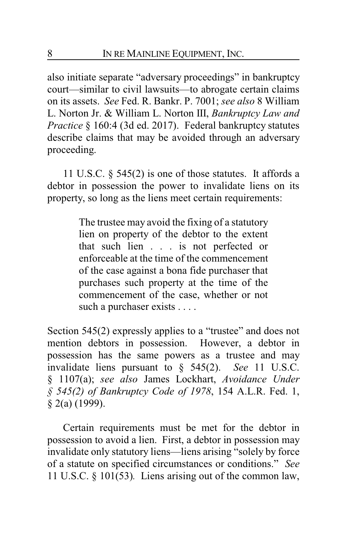also initiate separate "adversary proceedings" in bankruptcy court—similar to civil lawsuits—to abrogate certain claims on its assets. *See* Fed. R. Bankr. P. 7001; *see also* 8 William L. Norton Jr. & William L. Norton III, *Bankruptcy Law and Practice* § 160:4 (3d ed. 2017). Federal bankruptcy statutes describe claims that may be avoided through an adversary proceeding.

11 U.S.C. § 545(2) is one of those statutes. It affords a debtor in possession the power to invalidate liens on its property, so long as the liens meet certain requirements:

> The trustee may avoid the fixing of a statutory lien on property of the debtor to the extent that such lien . . . is not perfected or enforceable at the time of the commencement of the case against a bona fide purchaser that purchases such property at the time of the commencement of the case, whether or not such a purchaser exists . . . .

Section 545(2) expressly applies to a "trustee" and does not mention debtors in possession. However, a debtor in possession has the same powers as a trustee and may invalidate liens pursuant to § 545(2). *See* 11 U.S.C. § 1107(a); *see also* James Lockhart, *Avoidance Under § 545(2) of Bankruptcy Code of 1978*, 154 A.L.R. Fed. 1, § 2(a) (1999).

Certain requirements must be met for the debtor in possession to avoid a lien. First, a debtor in possession may invalidate only statutory liens—liens arising "solely by force of a statute on specified circumstances or conditions." *See* 11 U.S.C. § 101(53)*.* Liens arising out of the common law,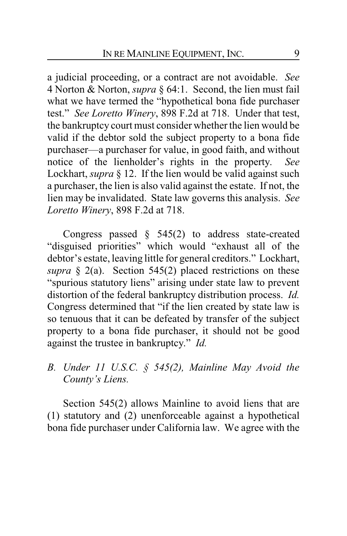a judicial proceeding, or a contract are not avoidable. *See* 4 Norton & Norton, *supra* § 64:1. Second, the lien must fail what we have termed the "hypothetical bona fide purchaser test." *See Loretto Winery*, 898 F.2d at 718. Under that test, the bankruptcy court must consider whether the lien would be valid if the debtor sold the subject property to a bona fide purchaser—a purchaser for value, in good faith, and without notice of the lienholder's rights in the property. *See* Lockhart, *supra* § 12. If the lien would be valid against such a purchaser, the lien is also valid against the estate. If not, the lien may be invalidated. State law governs this analysis. *See Loretto Winery*, 898 F.2d at 718.

Congress passed § 545(2) to address state-created "disguised priorities" which would "exhaust all of the debtor's estate, leaving little for general creditors." Lockhart, *supra* § 2(a). Section 545(2) placed restrictions on these "spurious statutory liens" arising under state law to prevent distortion of the federal bankruptcy distribution process. *Id.* Congress determined that "if the lien created by state law is so tenuous that it can be defeated by transfer of the subject property to a bona fide purchaser, it should not be good against the trustee in bankruptcy." *Id.*

*B. Under 11 U.S.C. § 545(2), Mainline May Avoid the County's Liens.*

Section 545(2) allows Mainline to avoid liens that are (1) statutory and (2) unenforceable against a hypothetical bona fide purchaser under California law. We agree with the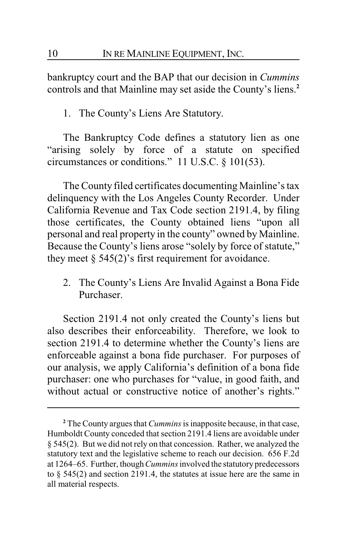bankruptcy court and the BAP that our decision in *Cummins* controls and that Mainline may set aside the County's liens.**<sup>2</sup>**

1. The County's Liens Are Statutory.

The Bankruptcy Code defines a statutory lien as one "arising solely by force of a statute on specified circumstances or conditions." 11 U.S.C. § 101(53).

The County filed certificates documenting Mainline's tax delinquency with the Los Angeles County Recorder. Under California Revenue and Tax Code section 2191.4, by filing those certificates, the County obtained liens "upon all personal and real property in the county" owned by Mainline. Because the County's liens arose "solely by force of statute," they meet  $\S$  545(2)'s first requirement for avoidance.

2. The County's Liens Are Invalid Against a Bona Fide Purchaser.

Section 2191.4 not only created the County's liens but also describes their enforceability. Therefore, we look to section 2191.4 to determine whether the County's liens are enforceable against a bona fide purchaser. For purposes of our analysis, we apply California's definition of a bona fide purchaser: one who purchases for "value, in good faith, and without actual or constructive notice of another's rights."

**<sup>2</sup>** The County argues that *Cummins*is inapposite because, in that case, Humboldt County conceded that section 2191.4 liens are avoidable under § 545(2). But we did not rely on that concession. Rather, we analyzed the statutory text and the legislative scheme to reach our decision. 656 F.2d at 1264–65. Further, though*Cummins*involved the statutory predecessors to § 545(2) and section 2191.4, the statutes at issue here are the same in all material respects.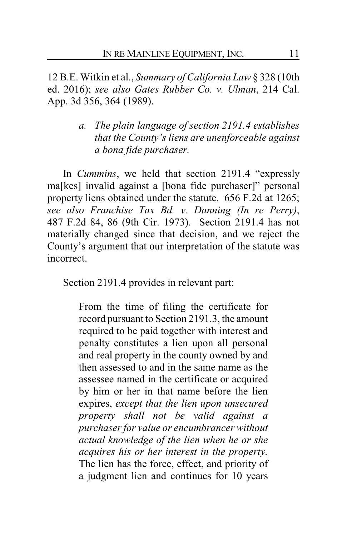12 B.E. Witkin et al., *Summary of California Law* § 328 (10th ed. 2016); *see also Gates Rubber Co. v. Ulman*, 214 Cal. App. 3d 356, 364 (1989).

> *a. The plain language of section 2191.4 establishes that the County's liens are unenforceable against a bona fide purchaser.*

In *Cummins*, we held that section 2191.4 "expressly ma[kes] invalid against a [bona fide purchaser]" personal property liens obtained under the statute. 656 F.2d at 1265; *see also Franchise Tax Bd. v. Danning (In re Perry)*, 487 F.2d 84, 86 (9th Cir. 1973). Section 2191.4 has not materially changed since that decision, and we reject the County's argument that our interpretation of the statute was incorrect.

Section 2191.4 provides in relevant part:

From the time of filing the certificate for record pursuant to Section 2191.3, the amount required to be paid together with interest and penalty constitutes a lien upon all personal and real property in the county owned by and then assessed to and in the same name as the assessee named in the certificate or acquired by him or her in that name before the lien expires, *except that the lien upon unsecured property shall not be valid against a purchaser for value or encumbrancer without actual knowledge of the lien when he or she acquires his or her interest in the property.*  The lien has the force, effect, and priority of a judgment lien and continues for 10 years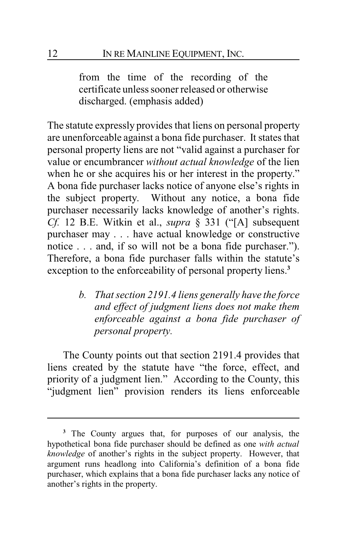from the time of the recording of the certificate unless sooner released or otherwise discharged. (emphasis added)

The statute expressly provides that liens on personal property are unenforceable against a bona fide purchaser. It states that personal property liens are not "valid against a purchaser for value or encumbrancer *without actual knowledge* of the lien when he or she acquires his or her interest in the property." A bona fide purchaser lacks notice of anyone else's rights in the subject property. Without any notice, a bona fide purchaser necessarily lacks knowledge of another's rights. *Cf.* 12 B.E. Witkin et al., *supra* § 331 ("[A] subsequent purchaser may . . . have actual knowledge or constructive notice . . . and, if so will not be a bona fide purchaser."). Therefore, a bona fide purchaser falls within the statute's exception to the enforceability of personal property liens.**<sup>3</sup>**

> *b. That section 2191.4 liens generally have the force and effect of judgment liens does not make them enforceable against a bona fide purchaser of personal property.*

The County points out that section 2191.4 provides that liens created by the statute have "the force, effect, and priority of a judgment lien." According to the County, this "judgment lien" provision renders its liens enforceable

**<sup>3</sup>** The County argues that, for purposes of our analysis, the hypothetical bona fide purchaser should be defined as one *with actual knowledge* of another's rights in the subject property. However, that argument runs headlong into California's definition of a bona fide purchaser, which explains that a bona fide purchaser lacks any notice of another's rights in the property.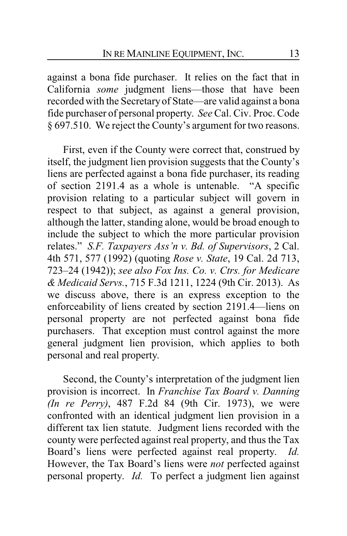against a bona fide purchaser. It relies on the fact that in California *some* judgment liens—those that have been recorded with the Secretaryof State—are valid against a bona fide purchaser of personal property. *See* Cal. Civ. Proc. Code § 697.510. We reject the County's argument for two reasons.

First, even if the County were correct that, construed by itself, the judgment lien provision suggests that the County's liens are perfected against a bona fide purchaser, its reading of section 2191.4 as a whole is untenable. "A specific provision relating to a particular subject will govern in respect to that subject, as against a general provision, although the latter, standing alone, would be broad enough to include the subject to which the more particular provision relates." *S.F. Taxpayers Ass'n v. Bd. of Supervisors*, 2 Cal. 4th 571, 577 (1992) (quoting *Rose v. State*, 19 Cal. 2d 713, 723–24 (1942)); *see also Fox Ins. Co. v. Ctrs. for Medicare & Medicaid Servs.*, 715 F.3d 1211, 1224 (9th Cir. 2013). As we discuss above, there is an express exception to the enforceability of liens created by section 2191.4—liens on personal property are not perfected against bona fide purchasers. That exception must control against the more general judgment lien provision, which applies to both personal and real property.

Second, the County's interpretation of the judgment lien provision is incorrect. In *Franchise Tax Board v. Danning (In re Perry)*, 487 F.2d 84 (9th Cir. 1973), we were confronted with an identical judgment lien provision in a different tax lien statute. Judgment liens recorded with the county were perfected against real property, and thus the Tax Board's liens were perfected against real property. *Id.* However, the Tax Board's liens were *not* perfected against personal property. *Id.* To perfect a judgment lien against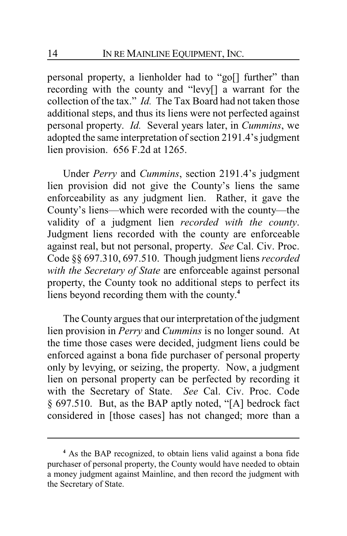personal property, a lienholder had to "go[] further" than recording with the county and "levy[] a warrant for the collection of the tax." *Id.* The Tax Board had not taken those additional steps, and thus its liens were not perfected against personal property. *Id.* Several years later, in *Cummins*, we adopted the same interpretation of section 2191.4's judgment lien provision. 656 F.2d at 1265.

Under *Perry* and *Cummins*, section 2191.4's judgment lien provision did not give the County's liens the same enforceability as any judgment lien. Rather, it gave the County's liens—which were recorded with the county—the validity of a judgment lien *recorded with the county*. Judgment liens recorded with the county are enforceable against real, but not personal, property. *See* Cal. Civ. Proc. Code §§ 697.310, 697.510. Though judgment liens *recorded with the Secretary of State* are enforceable against personal property, the County took no additional steps to perfect its liens beyond recording them with the county. **4**

The County argues that our interpretation of the judgment lien provision in *Perry* and *Cummins* is no longer sound. At the time those cases were decided, judgment liens could be enforced against a bona fide purchaser of personal property only by levying, or seizing, the property. Now, a judgment lien on personal property can be perfected by recording it with the Secretary of State. *See* Cal. Civ. Proc. Code § 697.510. But, as the BAP aptly noted, "[A] bedrock fact considered in [those cases] has not changed; more than a

**<sup>4</sup>** As the BAP recognized, to obtain liens valid against a bona fide purchaser of personal property, the County would have needed to obtain a money judgment against Mainline, and then record the judgment with the Secretary of State.